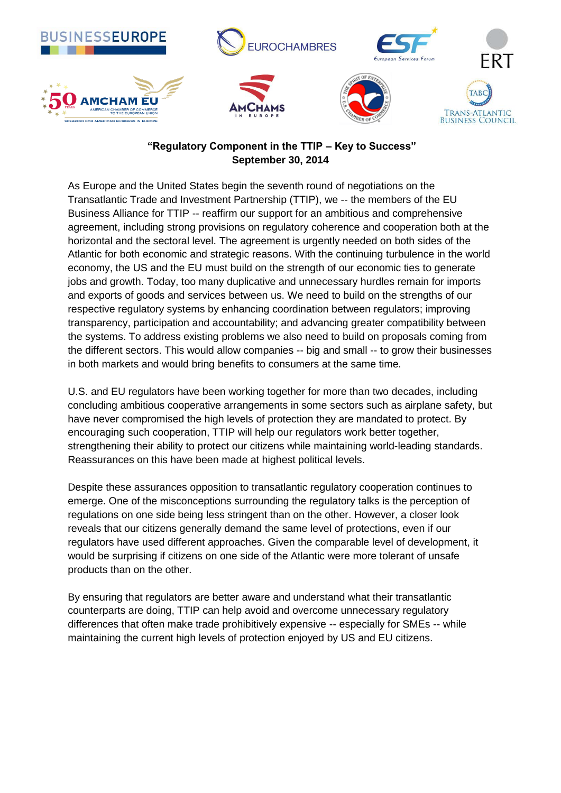

## **"Regulatory Component in the TTIP – Key to Success" September 30, 2014**

As Europe and the United States begin the seventh round of negotiations on the Transatlantic Trade and Investment Partnership (TTIP), we -- the members of the EU Business Alliance for TTIP -- reaffirm our support for an ambitious and comprehensive agreement, including strong provisions on regulatory coherence and cooperation both at the horizontal and the sectoral level. The agreement is urgently needed on both sides of the Atlantic for both economic and strategic reasons. With the continuing turbulence in the world economy, the US and the EU must build on the strength of our economic ties to generate jobs and growth. Today, too many duplicative and unnecessary hurdles remain for imports and exports of goods and services between us. We need to build on the strengths of our respective regulatory systems by enhancing coordination between regulators; improving transparency, participation and accountability; and advancing greater compatibility between the systems. To address existing problems we also need to build on proposals coming from the different sectors. This would allow companies -- big and small -- to grow their businesses in both markets and would bring benefits to consumers at the same time.

U.S. and EU regulators have been working together for more than two decades, including concluding ambitious cooperative arrangements in some sectors such as airplane safety, but have never compromised the high levels of protection they are mandated to protect. By encouraging such cooperation, TTIP will help our regulators work better together, strengthening their ability to protect our citizens while maintaining world-leading standards. Reassurances on this have been made at highest political levels.

Despite these assurances opposition to transatlantic regulatory cooperation continues to emerge. One of the misconceptions surrounding the regulatory talks is the perception of regulations on one side being less stringent than on the other. However, a closer look reveals that our citizens generally demand the same level of protections, even if our regulators have used different approaches. Given the comparable level of development, it would be surprising if citizens on one side of the Atlantic were more tolerant of unsafe products than on the other.

By ensuring that regulators are better aware and understand what their transatlantic counterparts are doing, TTIP can help avoid and overcome unnecessary regulatory differences that often make trade prohibitively expensive -- especially for SMEs -- while maintaining the current high levels of protection enjoyed by US and EU citizens.